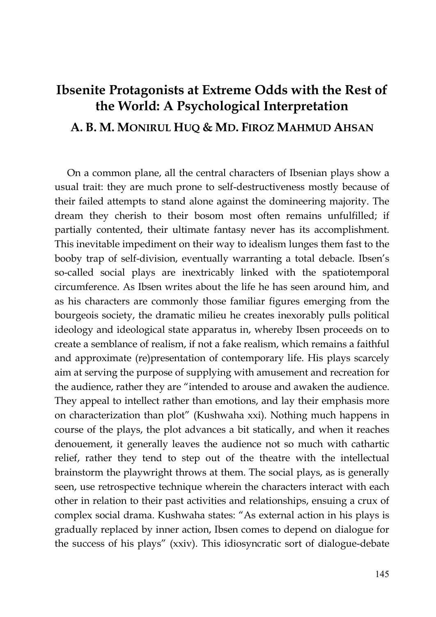## **Ibsenite Protagonists at Extreme Odds with the Rest of the World: A Psychological Interpretation A. B. M. MONIRUL HUQ & MD. FIROZ MAHMUD AHSAN**

On a common plane, all the central characters of Ibsenian plays show a usual trait: they are much prone to self-destructiveness mostly because of their failed attempts to stand alone against the domineering majority. The dream they cherish to their bosom most often remains unfulfilled; if partially contented, their ultimate fantasy never has its accomplishment. This inevitable impediment on their way to idealism lunges them fast to the booby trap of self-division, eventually warranting a total debacle. Ibsen's so-called social plays are inextricably linked with the spatiotemporal circumference. As Ibsen writes about the life he has seen around him, and as his characters are commonly those familiar figures emerging from the bourgeois society, the dramatic milieu he creates inexorably pulls political ideology and ideological state apparatus in, whereby Ibsen proceeds on to create a semblance of realism, if not a fake realism, which remains a faithful and approximate (re)presentation of contemporary life. His plays scarcely aim at serving the purpose of supplying with amusement and recreation for the audience, rather they are "intended to arouse and awaken the audience. They appeal to intellect rather than emotions, and lay their emphasis more on characterization than plot" (Kushwaha xxi). Nothing much happens in course of the plays, the plot advances a bit statically, and when it reaches denouement, it generally leaves the audience not so much with cathartic relief, rather they tend to step out of the theatre with the intellectual brainstorm the playwright throws at them. The social plays, as is generally seen, use retrospective technique wherein the characters interact with each other in relation to their past activities and relationships, ensuing a crux of complex social drama. Kushwaha states: "As external action in his plays is gradually replaced by inner action, Ibsen comes to depend on dialogue for the success of his plays" (xxiv). This idiosyncratic sort of dialogue-debate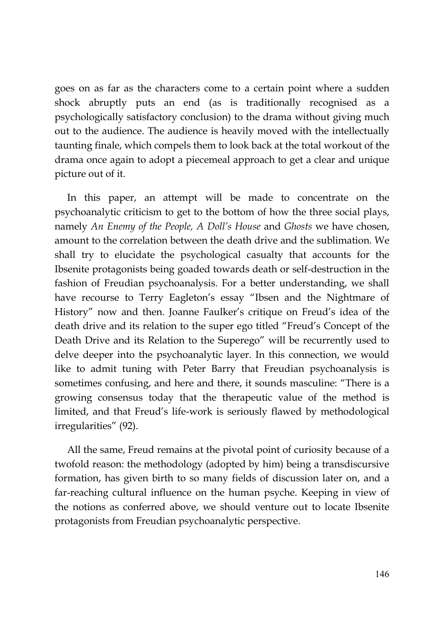goes on as far as the characters come to a certain point where a sudden shock abruptly puts an end (as is traditionally recognised as a psychologically satisfactory conclusion) to the drama without giving much out to the audience. The audience is heavily moved with the intellectually taunting finale, which compels them to look back at the total workout of the drama once again to adopt a piecemeal approach to get a clear and unique picture out of it.

In this paper, an attempt will be made to concentrate on the psychoanalytic criticism to get to the bottom of how the three social plays, namely *An Enemy of the People, A Doll's House* and *Ghosts* we have chosen, amount to the correlation between the death drive and the sublimation. We shall try to elucidate the psychological casualty that accounts for the Ibsenite protagonists being goaded towards death or self-destruction in the fashion of Freudian psychoanalysis. For a better understanding, we shall have recourse to Terry Eagleton's essay "Ibsen and the Nightmare of History" now and then. Joanne Faulker's critique on Freud's idea of the death drive and its relation to the super ego titled "Freud's Concept of the Death Drive and its Relation to the Superego" will be recurrently used to delve deeper into the psychoanalytic layer. In this connection, we would like to admit tuning with Peter Barry that Freudian psychoanalysis is sometimes confusing, and here and there, it sounds masculine: "There is a growing consensus today that the therapeutic value of the method is limited, and that Freud's life-work is seriously flawed by methodological irregularities" (92).

All the same, Freud remains at the pivotal point of curiosity because of a twofold reason: the methodology (adopted by him) being a transdiscursive formation, has given birth to so many fields of discussion later on, and a far-reaching cultural influence on the human psyche. Keeping in view of the notions as conferred above, we should venture out to locate Ibsenite protagonists from Freudian psychoanalytic perspective.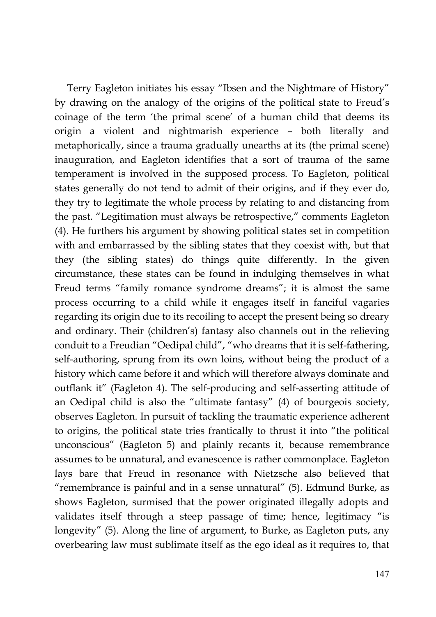Terry Eagleton initiates his essay "Ibsen and the Nightmare of History" by drawing on the analogy of the origins of the political state to Freud's coinage of the term 'the primal scene' of a human child that deems its origin a violent and nightmarish experience – both literally and metaphorically, since a trauma gradually unearths at its (the primal scene) inauguration, and Eagleton identifies that a sort of trauma of the same temperament is involved in the supposed process. To Eagleton, political states generally do not tend to admit of their origins, and if they ever do, they try to legitimate the whole process by relating to and distancing from the past. "Legitimation must always be retrospective," comments Eagleton (4). He furthers his argument by showing political states set in competition with and embarrassed by the sibling states that they coexist with, but that they (the sibling states) do things quite differently. In the given circumstance, these states can be found in indulging themselves in what Freud terms "family romance syndrome dreams"; it is almost the same process occurring to a child while it engages itself in fanciful vagaries regarding its origin due to its recoiling to accept the present being so dreary and ordinary. Their (children's) fantasy also channels out in the relieving conduit to a Freudian "Oedipal child", "who dreams that it is self-fathering, self-authoring, sprung from its own loins, without being the product of a history which came before it and which will therefore always dominate and outflank it" (Eagleton 4). The self-producing and self-asserting attitude of an Oedipal child is also the "ultimate fantasy" (4) of bourgeois society, observes Eagleton. In pursuit of tackling the traumatic experience adherent to origins, the political state tries frantically to thrust it into "the political unconscious" (Eagleton 5) and plainly recants it, because remembrance assumes to be unnatural, and evanescence is rather commonplace. Eagleton lays bare that Freud in resonance with Nietzsche also believed that "remembrance is painful and in a sense unnatural" (5). Edmund Burke, as shows Eagleton, surmised that the power originated illegally adopts and validates itself through a steep passage of time; hence, legitimacy "is longevity" (5). Along the line of argument, to Burke, as Eagleton puts, any overbearing law must sublimate itself as the ego ideal as it requires to, that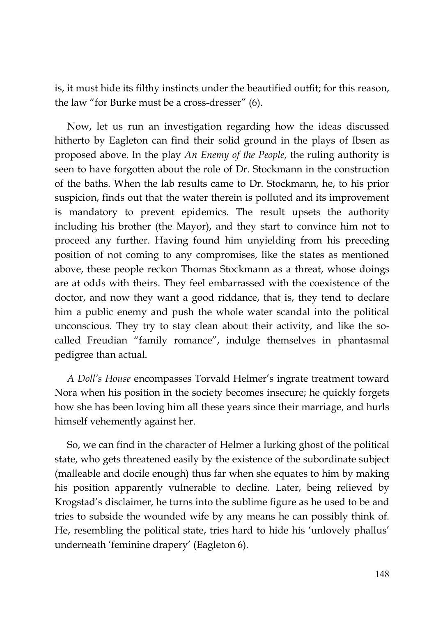is, it must hide its filthy instincts under the beautified outfit; for this reason, the law "for Burke must be a cross-dresser" (6).

Now, let us run an investigation regarding how the ideas discussed hitherto by Eagleton can find their solid ground in the plays of Ibsen as proposed above. In the play *An Enemy of the People*, the ruling authority is seen to have forgotten about the role of Dr. Stockmann in the construction of the baths. When the lab results came to Dr. Stockmann, he, to his prior suspicion, finds out that the water therein is polluted and its improvement is mandatory to prevent epidemics. The result upsets the authority including his brother (the Mayor), and they start to convince him not to proceed any further. Having found him unyielding from his preceding position of not coming to any compromises, like the states as mentioned above, these people reckon Thomas Stockmann as a threat, whose doings are at odds with theirs. They feel embarrassed with the coexistence of the doctor, and now they want a good riddance, that is, they tend to declare him a public enemy and push the whole water scandal into the political unconscious. They try to stay clean about their activity, and like the socalled Freudian "family romance", indulge themselves in phantasmal pedigree than actual.

*A Doll's House* encompasses Torvald Helmer's ingrate treatment toward Nora when his position in the society becomes insecure; he quickly forgets how she has been loving him all these years since their marriage, and hurls himself vehemently against her.

So, we can find in the character of Helmer a lurking ghost of the political state, who gets threatened easily by the existence of the subordinate subject (malleable and docile enough) thus far when she equates to him by making his position apparently vulnerable to decline. Later, being relieved by Krogstad's disclaimer, he turns into the sublime figure as he used to be and tries to subside the wounded wife by any means he can possibly think of. He, resembling the political state, tries hard to hide his 'unlovely phallus' underneath 'feminine drapery' (Eagleton 6).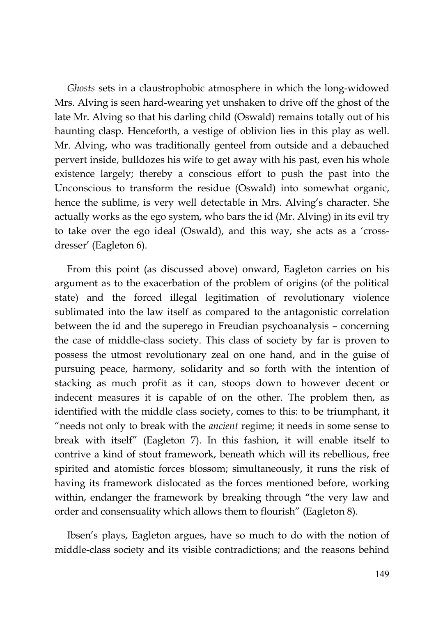*Ghosts* sets in a claustrophobic atmosphere in which the long-widowed Mrs. Alving is seen hard-wearing yet unshaken to drive off the ghost of the late Mr. Alving so that his darling child (Oswald) remains totally out of his haunting clasp. Henceforth, a vestige of oblivion lies in this play as well. Mr. Alving, who was traditionally genteel from outside and a debauched pervert inside, bulldozes his wife to get away with his past, even his whole existence largely; thereby a conscious effort to push the past into the Unconscious to transform the residue (Oswald) into somewhat organic, hence the sublime, is very well detectable in Mrs. Alving's character. She actually works as the ego system, who bars the id (Mr. Alving) in its evil try to take over the ego ideal (Oswald), and this way, she acts as a 'crossdresser' (Eagleton 6).

From this point (as discussed above) onward, Eagleton carries on his argument as to the exacerbation of the problem of origins (of the political state) and the forced illegal legitimation of revolutionary violence sublimated into the law itself as compared to the antagonistic correlation between the id and the superego in Freudian psychoanalysis – concerning the case of middle-class society. This class of society by far is proven to possess the utmost revolutionary zeal on one hand, and in the guise of pursuing peace, harmony, solidarity and so forth with the intention of stacking as much profit as it can, stoops down to however decent or indecent measures it is capable of on the other. The problem then, as identified with the middle class society, comes to this: to be triumphant, it "needs not only to break with the *ancient* regime; it needs in some sense to break with itself" (Eagleton 7). In this fashion, it will enable itself to contrive a kind of stout framework, beneath which will its rebellious, free spirited and atomistic forces blossom; simultaneously, it runs the risk of having its framework dislocated as the forces mentioned before, working within, endanger the framework by breaking through "the very law and order and consensuality which allows them to flourish" (Eagleton 8).

Ibsen's plays, Eagleton argues, have so much to do with the notion of middle-class society and its visible contradictions; and the reasons behind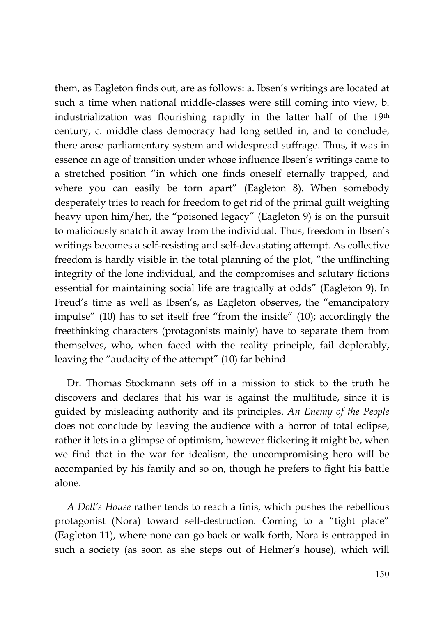them, as Eagleton finds out, are as follows: a. Ibsen's writings are located at such a time when national middle-classes were still coming into view, b. industrialization was flourishing rapidly in the latter half of the  $19<sup>th</sup>$ century, c. middle class democracy had long settled in, and to conclude, there arose parliamentary system and widespread suffrage. Thus, it was in essence an age of transition under whose influence Ibsen's writings came to a stretched position "in which one finds oneself eternally trapped, and where you can easily be torn apart" (Eagleton 8). When somebody desperately tries to reach for freedom to get rid of the primal guilt weighing heavy upon him/her, the "poisoned legacy" (Eagleton 9) is on the pursuit to maliciously snatch it away from the individual. Thus, freedom in Ibsen's writings becomes a self-resisting and self-devastating attempt. As collective freedom is hardly visible in the total planning of the plot, "the unflinching integrity of the lone individual, and the compromises and salutary fictions essential for maintaining social life are tragically at odds" (Eagleton 9). In Freud's time as well as Ibsen's, as Eagleton observes, the "emancipatory impulse" (10) has to set itself free "from the inside" (10); accordingly the freethinking characters (protagonists mainly) have to separate them from themselves, who, when faced with the reality principle, fail deplorably, leaving the "audacity of the attempt" (10) far behind.

Dr. Thomas Stockmann sets off in a mission to stick to the truth he discovers and declares that his war is against the multitude, since it is guided by misleading authority and its principles. *An Enemy of the People* does not conclude by leaving the audience with a horror of total eclipse, rather it lets in a glimpse of optimism, however flickering it might be, when we find that in the war for idealism, the uncompromising hero will be accompanied by his family and so on, though he prefers to fight his battle alone.

*A Doll's House* rather tends to reach a finis, which pushes the rebellious protagonist (Nora) toward self-destruction. Coming to a "tight place" (Eagleton 11), where none can go back or walk forth, Nora is entrapped in such a society (as soon as she steps out of Helmer's house), which will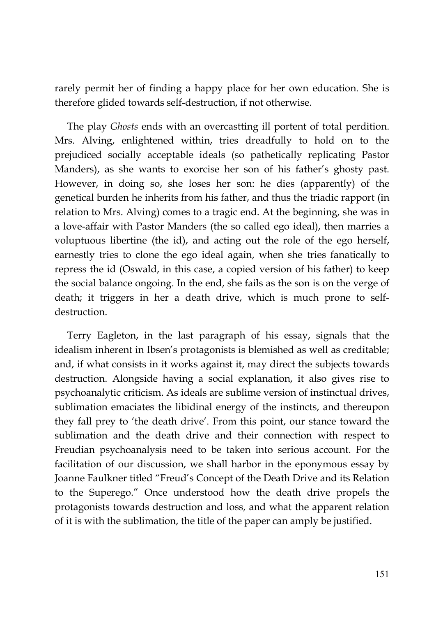rarely permit her of finding a happy place for her own education. She is therefore glided towards self-destruction, if not otherwise.

The play *Ghosts* ends with an overcastting ill portent of total perdition. Mrs. Alving, enlightened within, tries dreadfully to hold on to the prejudiced socially acceptable ideals (so pathetically replicating Pastor Manders), as she wants to exorcise her son of his father's ghosty past. However, in doing so, she loses her son: he dies (apparently) of the genetical burden he inherits from his father, and thus the triadic rapport (in relation to Mrs. Alving) comes to a tragic end. At the beginning, she was in a love-affair with Pastor Manders (the so called ego ideal), then marries a voluptuous libertine (the id), and acting out the role of the ego herself, earnestly tries to clone the ego ideal again, when she tries fanatically to repress the id (Oswald, in this case, a copied version of his father) to keep the social balance ongoing. In the end, she fails as the son is on the verge of death; it triggers in her a death drive, which is much prone to selfdestruction.

Terry Eagleton, in the last paragraph of his essay, signals that the idealism inherent in Ibsen's protagonists is blemished as well as creditable; and, if what consists in it works against it, may direct the subjects towards destruction. Alongside having a social explanation, it also gives rise to psychoanalytic criticism. As ideals are sublime version of instinctual drives, sublimation emaciates the libidinal energy of the instincts, and thereupon they fall prey to 'the death drive'. From this point, our stance toward the sublimation and the death drive and their connection with respect to Freudian psychoanalysis need to be taken into serious account. For the facilitation of our discussion, we shall harbor in the eponymous essay by Joanne Faulkner titled "Freud's Concept of the Death Drive and its Relation to the Superego." Once understood how the death drive propels the protagonists towards destruction and loss, and what the apparent relation of it is with the sublimation, the title of the paper can amply be justified.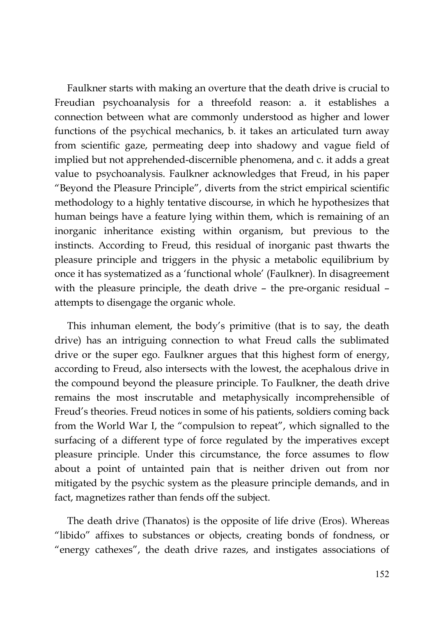Faulkner starts with making an overture that the death drive is crucial to Freudian psychoanalysis for a threefold reason: a. it establishes a connection between what are commonly understood as higher and lower functions of the psychical mechanics, b. it takes an articulated turn away from scientific gaze, permeating deep into shadowy and vague field of implied but not apprehended-discernible phenomena, and c. it adds a great value to psychoanalysis. Faulkner acknowledges that Freud, in his paper "Beyond the Pleasure Principle", diverts from the strict empirical scientific methodology to a highly tentative discourse, in which he hypothesizes that human beings have a feature lying within them, which is remaining of an inorganic inheritance existing within organism, but previous to the instincts. According to Freud, this residual of inorganic past thwarts the pleasure principle and triggers in the physic a metabolic equilibrium by once it has systematized as a 'functional whole' (Faulkner). In disagreement with the pleasure principle, the death drive – the pre-organic residual – attempts to disengage the organic whole.

This inhuman element, the body's primitive (that is to say, the death drive) has an intriguing connection to what Freud calls the sublimated drive or the super ego. Faulkner argues that this highest form of energy, according to Freud, also intersects with the lowest, the acephalous drive in the compound beyond the pleasure principle. To Faulkner, the death drive remains the most inscrutable and metaphysically incomprehensible of Freud's theories. Freud notices in some of his patients, soldiers coming back from the World War I, the "compulsion to repeat", which signalled to the surfacing of a different type of force regulated by the imperatives except pleasure principle. Under this circumstance, the force assumes to flow about a point of untainted pain that is neither driven out from nor mitigated by the psychic system as the pleasure principle demands, and in fact, magnetizes rather than fends off the subject.

The death drive (Thanatos) is the opposite of life drive (Eros). Whereas "libido" affixes to substances or objects, creating bonds of fondness, or "energy cathexes", the death drive razes, and instigates associations of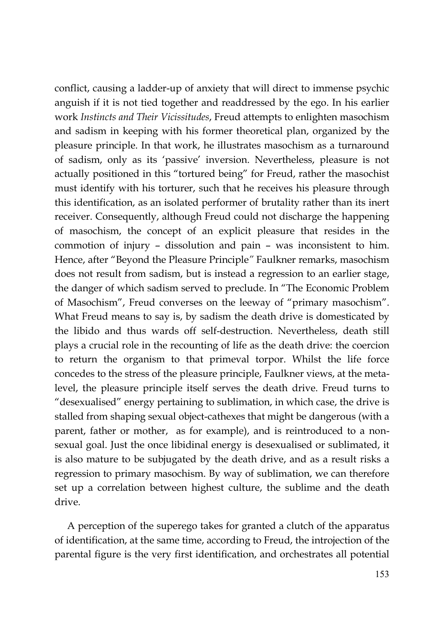conflict, causing a ladder-up of anxiety that will direct to immense psychic anguish if it is not tied together and readdressed by the ego. In his earlier work *Instincts and Their Vicissitudes*, Freud attempts to enlighten masochism and sadism in keeping with his former theoretical plan, organized by the pleasure principle. In that work, he illustrates masochism as a turnaround of sadism, only as its 'passive' inversion. Nevertheless, pleasure is not actually positioned in this "tortured being" for Freud, rather the masochist must identify with his torturer, such that he receives his pleasure through this identification, as an isolated performer of brutality rather than its inert receiver. Consequently, although Freud could not discharge the happening of masochism, the concept of an explicit pleasure that resides in the commotion of injury – dissolution and pain – was inconsistent to him. Hence, after "Beyond the Pleasure Principle*"* Faulkner remarks, masochism does not result from sadism, but is instead a regression to an earlier stage, the danger of which sadism served to preclude. In "The Economic Problem of Masochism", Freud converses on the leeway of "primary masochism". What Freud means to say is, by sadism the death drive is domesticated by the libido and thus wards off self-destruction. Nevertheless, death still plays a crucial role in the recounting of life as the death drive: the coercion to return the organism to that primeval torpor. Whilst the life force concedes to the stress of the pleasure principle, Faulkner views, at the metalevel, the pleasure principle itself serves the death drive. Freud turns to "desexualised" energy pertaining to sublimation, in which case, the drive is stalled from shaping sexual object-cathexes that might be dangerous (with a parent, father or mother, as for example), and is reintroduced to a nonsexual goal. Just the once libidinal energy is desexualised or sublimated, it is also mature to be subjugated by the death drive, and as a result risks a regression to primary masochism. By way of sublimation, we can therefore set up a correlation between highest culture, the sublime and the death drive.

A perception of the superego takes for granted a clutch of the apparatus of identification, at the same time, according to Freud, the introjection of the parental figure is the very first identification, and orchestrates all potential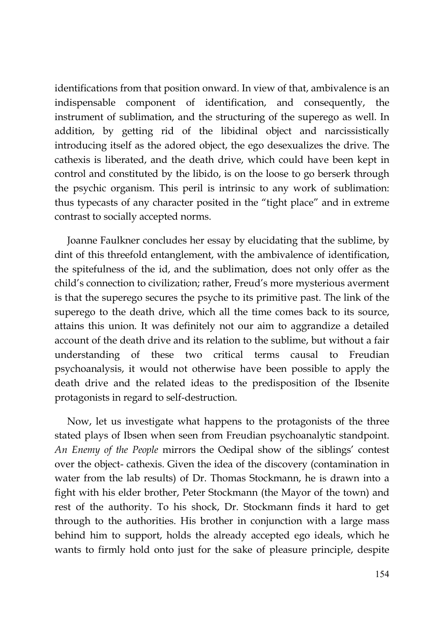identifications from that position onward. In view of that, ambivalence is an indispensable component of identification, and consequently, the instrument of sublimation, and the structuring of the superego as well. In addition, by getting rid of the libidinal object and narcissistically introducing itself as the adored object, the ego desexualizes the drive. The cathexis is liberated, and the death drive, which could have been kept in control and constituted by the libido, is on the loose to go berserk through the psychic organism. This peril is intrinsic to any work of sublimation: thus typecasts of any character posited in the "tight place" and in extreme contrast to socially accepted norms.

Joanne Faulkner concludes her essay by elucidating that the sublime, by dint of this threefold entanglement, with the ambivalence of identification, the spitefulness of the id, and the sublimation, does not only offer as the child's connection to civilization; rather, Freud's more mysterious averment is that the superego secures the psyche to its primitive past. The link of the superego to the death drive, which all the time comes back to its source, attains this union. It was definitely not our aim to aggrandize a detailed account of the death drive and its relation to the sublime, but without a fair understanding of these two critical terms causal to Freudian psychoanalysis, it would not otherwise have been possible to apply the death drive and the related ideas to the predisposition of the Ibsenite protagonists in regard to self-destruction.

Now, let us investigate what happens to the protagonists of the three stated plays of Ibsen when seen from Freudian psychoanalytic standpoint. *An Enemy of the People* mirrors the Oedipal show of the siblings' contest over the object- cathexis. Given the idea of the discovery (contamination in water from the lab results) of Dr. Thomas Stockmann, he is drawn into a fight with his elder brother, Peter Stockmann (the Mayor of the town) and rest of the authority. To his shock, Dr. Stockmann finds it hard to get through to the authorities. His brother in conjunction with a large mass behind him to support, holds the already accepted ego ideals, which he wants to firmly hold onto just for the sake of pleasure principle, despite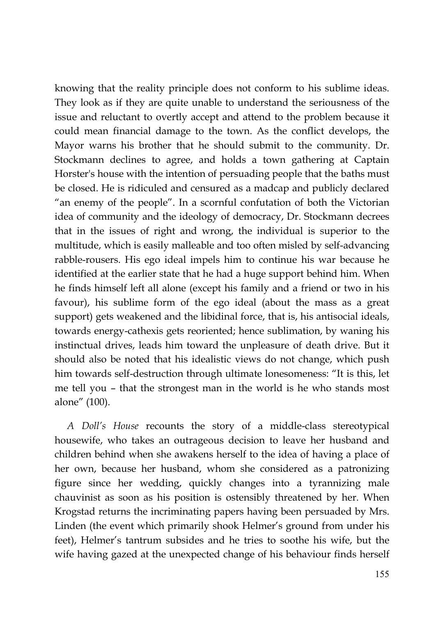knowing that the reality principle does not conform to his sublime ideas. They look as if they are quite unable to understand the seriousness of the issue and reluctant to overtly accept and attend to the problem because it could mean financial damage to the town. As the conflict develops, the Mayor warns his brother that he should submit to the community. Dr. Stockmann declines to agree, and holds a town gathering at Captain Horster's house with the intention of persuading people that the baths must be closed. He is ridiculed and censured as a madcap and publicly declared "an enemy of the people". In a scornful confutation of both the Victorian idea of community and the ideology of democracy, Dr. Stockmann decrees that in the issues of right and wrong, the individual is superior to the multitude, which is easily malleable and too often misled by self-advancing rabble-rousers. His ego ideal impels him to continue his war because he identified at the earlier state that he had a huge support behind him. When he finds himself left all alone (except his family and a friend or two in his favour), his sublime form of the ego ideal (about the mass as a great support) gets weakened and the libidinal force, that is, his antisocial ideals, towards energy-cathexis gets reoriented; hence sublimation, by waning his instinctual drives, leads him toward the unpleasure of death drive. But it should also be noted that his idealistic views do not change, which push him towards self-destruction through ultimate lonesomeness: "It is this, let me tell you – that the strongest man in the world is he who stands most alone" (100).

*A Doll's House* recounts the story of a middle-class stereotypical housewife, who takes an outrageous decision to leave her husband and children behind when she awakens herself to the idea of having a place of her own, because her husband, whom she considered as a patronizing figure since her wedding, quickly changes into a tyrannizing male chauvinist as soon as his position is ostensibly threatened by her. When Krogstad returns the incriminating papers having been persuaded by Mrs. Linden (the event which primarily shook Helmer's ground from under his feet), Helmer's tantrum subsides and he tries to soothe his wife, but the wife having gazed at the unexpected change of his behaviour finds herself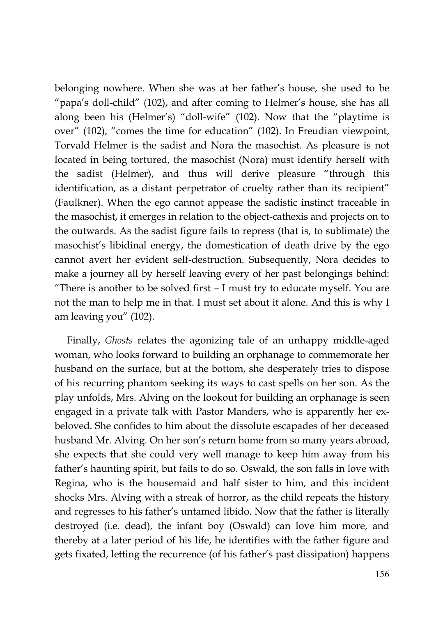belonging nowhere. When she was at her father's house, she used to be "papa's doll-child" (102), and after coming to Helmer's house, she has all along been his (Helmer's) "doll-wife" (102). Now that the "playtime is over" (102), "comes the time for education" (102). In Freudian viewpoint, Torvald Helmer is the sadist and Nora the masochist. As pleasure is not located in being tortured, the masochist (Nora) must identify herself with the sadist (Helmer), and thus will derive pleasure "through this identification, as a distant perpetrator of cruelty rather than its recipient" (Faulkner). When the ego cannot appease the sadistic instinct traceable in the masochist, it emerges in relation to the object-cathexis and projects on to the outwards. As the sadist figure fails to repress (that is, to sublimate) the masochist's libidinal energy, the domestication of death drive by the ego cannot avert her evident self-destruction. Subsequently, Nora decides to make a journey all by herself leaving every of her past belongings behind: "There is another to be solved first – I must try to educate myself. You are not the man to help me in that. I must set about it alone. And this is why I am leaving you" (102).

Finally, *Ghosts* relates the agonizing tale of an unhappy middle-aged woman, who looks forward to building an orphanage to commemorate her husband on the surface, but at the bottom, she desperately tries to dispose of his recurring phantom seeking its ways to cast spells on her son. As the play unfolds, Mrs. Alving on the lookout for building an orphanage is seen engaged in a private talk with Pastor Manders, who is apparently her exbeloved. She confides to him about the dissolute escapades of her deceased husband Mr. Alving. On her son's return home from so many years abroad, she expects that she could very well manage to keep him away from his father's haunting spirit, but fails to do so. Oswald, the son falls in love with Regina, who is the housemaid and half sister to him, and this incident shocks Mrs. Alving with a streak of horror, as the child repeats the history and regresses to his father's untamed libido. Now that the father is literally destroyed (i.e. dead), the infant boy (Oswald) can love him more, and thereby at a later period of his life, he identifies with the father figure and gets fixated, letting the recurrence (of his father's past dissipation) happens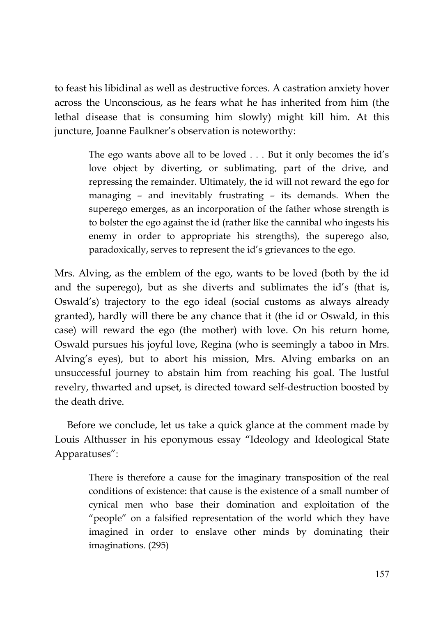to feast his libidinal as well as destructive forces. A castration anxiety hover across the Unconscious, as he fears what he has inherited from him (the lethal disease that is consuming him slowly) might kill him. At this juncture, Joanne Faulkner's observation is noteworthy:

> The ego wants above all to be loved . . . But it only becomes the id's love object by diverting, or sublimating, part of the drive, and repressing the remainder. Ultimately, the id will not reward the ego for managing – and inevitably frustrating – its demands. When the superego emerges, as an incorporation of the father whose strength is to bolster the ego against the id (rather like the cannibal who ingests his enemy in order to appropriate his strengths), the superego also, paradoxically, serves to represent the id's grievances to the ego.

Mrs. Alving, as the emblem of the ego, wants to be loved (both by the id and the superego), but as she diverts and sublimates the id's (that is, Oswald's) trajectory to the ego ideal (social customs as always already granted), hardly will there be any chance that it (the id or Oswald, in this case) will reward the ego (the mother) with love. On his return home, Oswald pursues his joyful love, Regina (who is seemingly a taboo in Mrs. Alving's eyes), but to abort his mission, Mrs. Alving embarks on an unsuccessful journey to abstain him from reaching his goal. The lustful revelry, thwarted and upset, is directed toward self-destruction boosted by the death drive.

Before we conclude, let us take a quick glance at the comment made by Louis Althusser in his eponymous essay "Ideology and Ideological State Apparatuses":

> There is therefore a cause for the imaginary transposition of the real conditions of existence: that cause is the existence of a small number of cynical men who base their domination and exploitation of the "people" on a falsified representation of the world which they have imagined in order to enslave other minds by dominating their imaginations. (295)